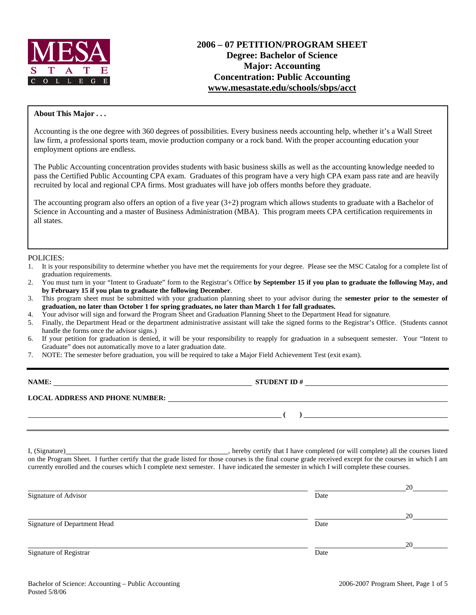

# **2006 – 07 PETITION/PROGRAM SHEET Degree: Bachelor of Science Major: Accounting Concentration: Public Accounting www.mesastate.edu/schools/sbps/acct**

#### **About This Major . . .**

Accounting is the one degree with 360 degrees of possibilities. Every business needs accounting help, whether it's a Wall Street law firm, a professional sports team, movie production company or a rock band. With the proper accounting education your employment options are endless.

The Public Accounting concentration provides students with basic business skills as well as the accounting knowledge needed to pass the Certified Public Accounting CPA exam. Graduates of this program have a very high CPA exam pass rate and are heavily recruited by local and regional CPA firms. Most graduates will have job offers months before they graduate.

The accounting program also offers an option of a five year (3+2) program which allows students to graduate with a Bachelor of Science in Accounting and a master of Business Administration (MBA). This program meets CPA certification requirements in all states.

#### POLICIES:

- 1. It is your responsibility to determine whether you have met the requirements for your degree. Please see the MSC Catalog for a complete list of graduation requirements.
- 2. You must turn in your "Intent to Graduate" form to the Registrar's Office **by September 15 if you plan to graduate the following May, and by February 15 if you plan to graduate the following December**.
- 3. This program sheet must be submitted with your graduation planning sheet to your advisor during the **semester prior to the semester of graduation, no later than October 1 for spring graduates, no later than March 1 for fall graduates.**
- 4. Your advisor will sign and forward the Program Sheet and Graduation Planning Sheet to the Department Head for signature.
- 5. Finally, the Department Head or the department administrative assistant will take the signed forms to the Registrar's Office. (Students cannot handle the forms once the advisor signs.)
- 6. If your petition for graduation is denied, it will be your responsibility to reapply for graduation in a subsequent semester. Your "Intent to Graduate" does not automatically move to a later graduation date.
- 7. NOTE: The semester before graduation, you will be required to take a Major Field Achievement Test (exit exam).

| NAME:                                  | <b>STUDENT ID#</b> |
|----------------------------------------|--------------------|
| <b>LOCAL ADDRESS AND PHONE NUMBER:</b> |                    |
|                                        |                    |
|                                        |                    |

I, (Signature) , hereby certify that I have completed (or will complete) all the courses listed on the Program Sheet. I further certify that the grade listed for those courses is the final course grade received except for the courses in which I am currently enrolled and the courses which I complete next semester. I have indicated the semester in which I will complete these courses.

|                              |      | 20 |
|------------------------------|------|----|
| Signature of Advisor         | Date |    |
|                              |      | 20 |
| Signature of Department Head | Date |    |
|                              |      | 20 |
| Signature of Registrar       | Date |    |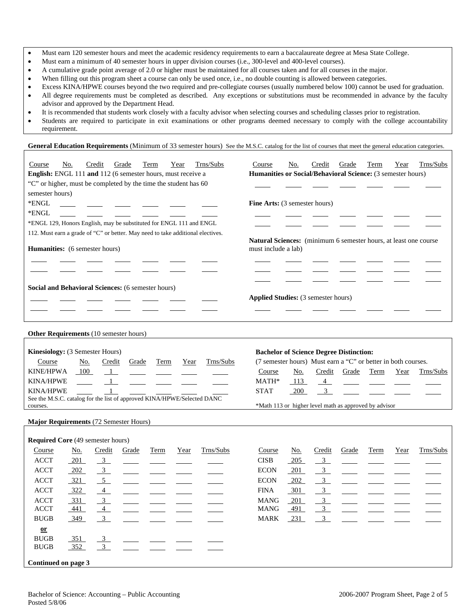- Must earn 120 semester hours and meet the academic residency requirements to earn a baccalaureate degree at Mesa State College.
- Must earn a minimum of 40 semester hours in upper division courses (i.e., 300-level and 400-level courses).
- A cumulative grade point average of 2.0 or higher must be maintained for all courses taken and for all courses in the major.
- When filling out this program sheet a course can only be used once, i.e., no double counting is allowed between categories.
- Excess KINA/HPWE courses beyond the two required and pre-collegiate courses (usually numbered below 100) cannot be used for graduation. • All degree requirements must be completed as described. Any exceptions or substitutions must be recommended in advance by the faculty advisor and approved by the Department Head.
- It is recommended that students work closely with a faculty advisor when selecting courses and scheduling classes prior to registration.
- Students are required to participate in exit examinations or other programs deemed necessary to comply with the college accountability requirement.

General Education Requirements (Minimum of 33 semester hours) See the M.S.C. catalog for the list of courses that meet the general education categories.

| Trns/Subs<br>Credit<br>Term<br>Course<br><u>No.</u><br>Grade<br>Year<br>English: ENGL 111 and 112 (6 semester hours, must receive a<br>"C" or higher, must be completed by the time the student has 60 |     |                |       |             |      | Course<br>Humanities or Social/Behavioral Science: (3 semester hours) | No.                                                                                     | Credit     | Grade          | Term  | Year | Trns/Subs |           |
|--------------------------------------------------------------------------------------------------------------------------------------------------------------------------------------------------------|-----|----------------|-------|-------------|------|-----------------------------------------------------------------------|-----------------------------------------------------------------------------------------|------------|----------------|-------|------|-----------|-----------|
| semester hours)<br>*ENGL<br>*ENGL                                                                                                                                                                      |     |                |       |             |      |                                                                       | Fine Arts: (3 semester hours)                                                           |            |                |       |      |           |           |
| *ENGL 129, Honors English, may be substituted for ENGL 111 and ENGL                                                                                                                                    |     |                |       |             |      |                                                                       |                                                                                         |            |                |       |      |           |           |
| 112. Must earn a grade of "C" or better. May need to take additional electives.                                                                                                                        |     |                |       |             |      |                                                                       |                                                                                         |            |                |       |      |           |           |
| Humanities: (6 semester hours)                                                                                                                                                                         |     |                |       |             |      |                                                                       | Natural Sciences: (minimum 6 semester hours, at least one course<br>must include a lab) |            |                |       |      |           |           |
| Social and Behavioral Sciences: (6 semester hours)                                                                                                                                                     |     |                |       |             |      |                                                                       |                                                                                         |            |                |       |      |           |           |
|                                                                                                                                                                                                        |     |                |       |             |      |                                                                       | <b>Applied Studies:</b> (3 semester hours)                                              |            |                |       |      |           |           |
| Other Requirements (10 semester hours)                                                                                                                                                                 |     |                |       |             |      |                                                                       |                                                                                         |            |                |       |      |           |           |
| Kinesiology: (3 Semester Hours)                                                                                                                                                                        |     |                |       |             |      |                                                                       | <b>Bachelor of Science Degree Distinction:</b>                                          |            |                |       |      |           |           |
| Course                                                                                                                                                                                                 | No. | Credit         | Grade | Term        | Year | Trns/Subs                                                             | (7 semester hours) Must earn a "C" or better in both courses.                           |            |                |       |      |           |           |
| <b>KINE/HPWA</b>                                                                                                                                                                                       | 100 | $\overline{1}$ |       |             |      |                                                                       | Course                                                                                  | No.        | Credit         | Grade | Term | Year      | Trns/Subs |
| <b>KINA/HPWE</b>                                                                                                                                                                                       |     | $\mathbf{1}$   |       |             |      |                                                                       | MATH*                                                                                   | 113        | $\overline{4}$ |       |      |           |           |
| <b>KINA/HPWE</b>                                                                                                                                                                                       |     | $\mathbf{1}$   |       |             |      |                                                                       | <b>STAT</b>                                                                             | <b>200</b> | 3 <sup>7</sup> |       |      |           |           |
| See the M.S.C. catalog for the list of approved KINA/HPWE/Selected DANC                                                                                                                                |     |                |       |             |      |                                                                       |                                                                                         |            |                |       |      |           |           |
| courses.                                                                                                                                                                                               |     |                |       |             |      |                                                                       | *Math 113 or higher level math as approved by advisor                                   |            |                |       |      |           |           |
| Major Requirements (72 Semester Hours)                                                                                                                                                                 |     |                |       |             |      |                                                                       |                                                                                         |            |                |       |      |           |           |
|                                                                                                                                                                                                        |     |                |       |             |      |                                                                       |                                                                                         |            |                |       |      |           |           |
| <b>Required Core (49 semester hours)</b>                                                                                                                                                               |     |                |       |             |      |                                                                       |                                                                                         |            |                |       |      |           |           |
| Course                                                                                                                                                                                                 | No. | Credit         | Grade | <b>Term</b> | Year | Trns/Subs                                                             | Course                                                                                  | No.        | Credit         | Grade | Term | Year      | Trns/Subs |
| <b>ACCT</b>                                                                                                                                                                                            | 201 | 3 <sup>1</sup> |       |             |      |                                                                       | <b>CISB</b>                                                                             | 205        | 3 <sup>7</sup> |       |      |           |           |
| <b>ACCT</b>                                                                                                                                                                                            | 202 | $\frac{3}{2}$  |       |             |      |                                                                       | <b>ECON</b>                                                                             | 201        | 3 <sup>1</sup> |       |      |           |           |
| <b>ACCT</b>                                                                                                                                                                                            | 321 | 5 <sup>5</sup> |       |             |      |                                                                       | <b>ECON</b>                                                                             | 202        | 3 <sup>1</sup> |       |      |           |           |
| <b>ACCT</b>                                                                                                                                                                                            | 322 | $\overline{4}$ |       |             |      |                                                                       | <b>FINA</b>                                                                             | 301        | 3 <sup>7</sup> |       |      |           |           |
| <b>ACCT</b>                                                                                                                                                                                            | 331 | 3              |       |             |      |                                                                       | <b>MANG</b>                                                                             | 201        | 3              |       |      |           |           |

ACCT <u>441 4 1 mars and the set of the set of the set of the set of the set of the set of the set of the set of the set of the set of the set of the set of the set of the set of the set of the set of the set of the set of t</u> BUGB 349 3 MARK 231 3

**or**

 $BUGB$   $351$ BUGB 352

**Continued on page 3**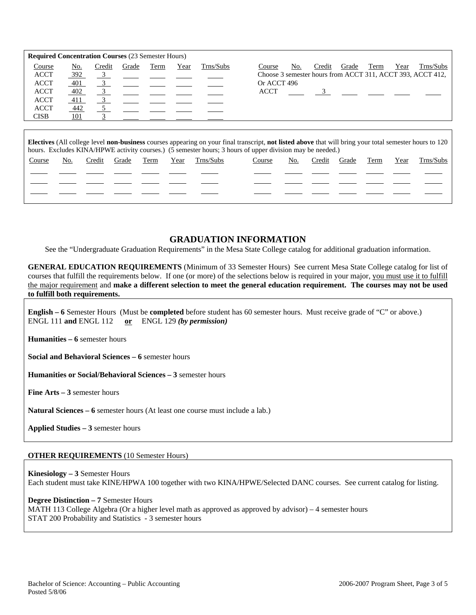| <b>Required Concentration Courses (23 Semester Hours)</b>                         |                                        |        |       |      |      |           |                                                                                                                                                           |
|-----------------------------------------------------------------------------------|----------------------------------------|--------|-------|------|------|-----------|-----------------------------------------------------------------------------------------------------------------------------------------------------------|
| Course<br><b>ACCT</b><br><b>ACCT</b><br><b>ACCT</b><br><b>ACCT</b><br><b>ACCT</b> | No.<br>392<br>401<br>402<br>411<br>442 | Credit | Grade | Term | Year | Trns/Subs | Trns/Subs<br>Year<br>Course<br>No.<br>Credit<br>Term<br>Grade<br>Choose 3 semester hours from ACCT 311, ACCT 393, ACCT 412,<br>Or ACCT 496<br><b>ACCT</b> |
| <b>CISB</b>                                                                       | <u>101</u>                             |        |       |      |      |           |                                                                                                                                                           |

**Electives** (All college level **non-business** courses appearing on your final transcript, **not listed above** that will bring your total semester hours to 120 hours. Excludes KINA/HPWE activity courses.) (5 semester hours; 3 hours of upper division may be needed.) Course No. Credit Grade Term Year Trns/Subs Course No. Credit Grade Term Year Trns/Subs

|  |  |  | the contract of the contract of | the contract of the contract of the contract of |  |  |  |
|--|--|--|---------------------------------|-------------------------------------------------|--|--|--|
|  |  |  |                                 | the contract of the contract of the             |  |  |  |
|  |  |  |                                 |                                                 |  |  |  |

## **GRADUATION INFORMATION**

See the "Undergraduate Graduation Requirements" in the Mesa State College catalog for additional graduation information.

**GENERAL EDUCATION REQUIREMENTS** (Minimum of 33 Semester Hours) See current Mesa State College catalog for list of courses that fulfill the requirements below. If one (or more) of the selections below is required in your major, you must use it to fulfill the major requirement and **make a different selection to meet the general education requirement. The courses may not be used to fulfill both requirements.**

**English – 6** Semester Hours (Must be **completed** before student has 60 semester hours. Must receive grade of "C" or above.) ENGL 111 **and** ENGL 112 **or** ENGL 129 *(by permission)*

**Humanities – 6** semester hours

**Social and Behavioral Sciences – 6** semester hours

**Humanities or Social/Behavioral Sciences – 3** semester hours

**Fine Arts – 3** semester hours

**Natural Sciences – 6** semester hours (At least one course must include a lab.)

**Applied Studies – 3** semester hours

#### **OTHER REQUIREMENTS** (10 Semester Hours)

**Kinesiology – 3** Semester Hours Each student must take KINE/HPWA 100 together with two KINA/HPWE/Selected DANC courses. See current catalog for listing.

**Degree Distinction – 7** Semester Hours MATH 113 College Algebra (Or a higher level math as approved as approved by advisor) – 4 semester hours STAT 200 Probability and Statistics - 3 semester hours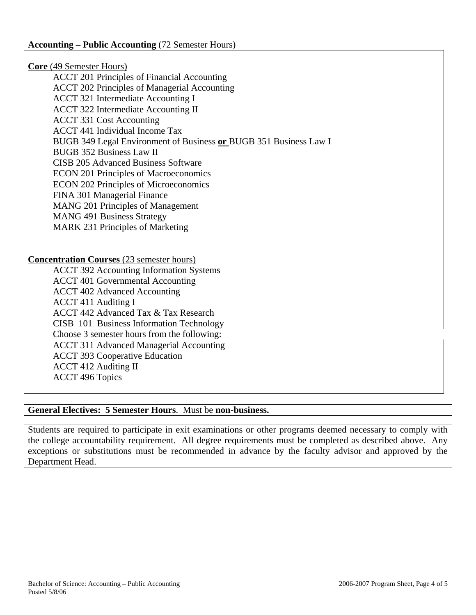**Core** (49 Semester Hours) ACCT 201 Principles of Financial Accounting ACCT 202 Principles of Managerial Accounting ACCT 321 Intermediate Accounting I ACCT 322 Intermediate Accounting II ACCT 331 Cost Accounting ACCT 441 Individual Income Tax BUGB 349 Legal Environment of Business **or** BUGB 351 Business Law I BUGB 352 Business Law II CISB 205 Advanced Business Software ECON 201 Principles of Macroeconomics ECON 202 Principles of Microeconomics FINA 301 Managerial Finance MANG 201 Principles of Management MANG 491 Business Strategy MARK 231 Principles of Marketing **Concentration Courses** (23 semester hours) ACCT 392 Accounting Information Systems ACCT 401 Governmental Accounting ACCT 402 Advanced Accounting ACCT 411 Auditing I ACCT 442 Advanced Tax & Tax Research CISB 101 Business Information Technology Choose 3 semester hours from the following: ACCT 311 Advanced Managerial Accounting ACCT 393 Cooperative Education ACCT 412 Auditing II ACCT 496 Topics

# **General Electives: 5 Semester Hours**. Must be **non-business.**

Students are required to participate in exit examinations or other programs deemed necessary to comply with the college accountability requirement. All degree requirements must be completed as described above. Any exceptions or substitutions must be recommended in advance by the faculty advisor and approved by the Department Head.